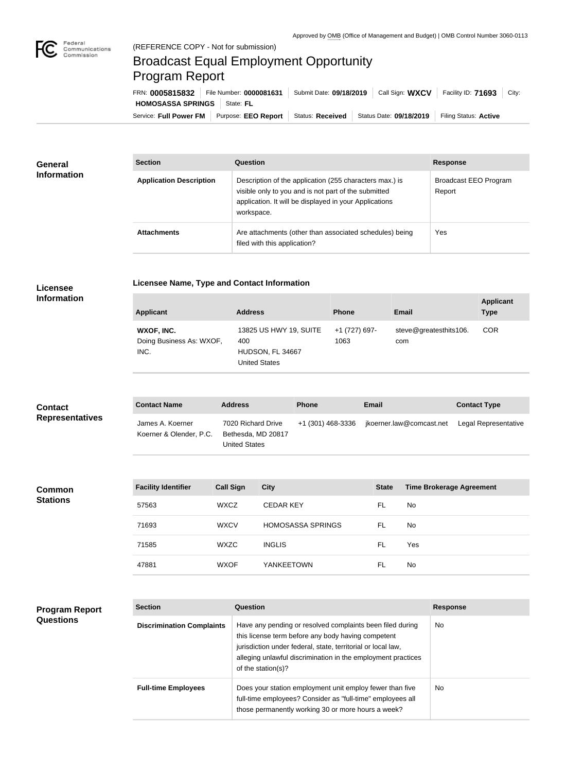

## (REFERENCE COPY - Not for submission) Broadcast Equal Employment Opportunity Program Report

Service: Full Power FM Purpose: EEO Report | Status: Received | Status Date: 09/18/2019 | Filing Status: Active **HOMOSASSA SPRINGS** State: FL FRN: **0005815832** File Number: **0000081631** Submit Date: **09/18/2019** Call Sign: **WXCV** Facility ID: **71693** City:

| <b>General</b><br><b>Information</b> | <b>Section</b>                 | <b>Question</b>                                                                                                                                                                         | <b>Response</b>                 |
|--------------------------------------|--------------------------------|-----------------------------------------------------------------------------------------------------------------------------------------------------------------------------------------|---------------------------------|
|                                      | <b>Application Description</b> | Description of the application (255 characters max.) is<br>visible only to you and is not part of the submitted<br>application. It will be displayed in your Applications<br>workspace. | Broadcast EEO Program<br>Report |
|                                      | <b>Attachments</b>             | Are attachments (other than associated schedules) being<br>filed with this application?                                                                                                 | Yes                             |

## **Licensee Information**

|  |  | <b>Licensee Name, Type and Contact Information</b> |
|--|--|----------------------------------------------------|
|  |  |                                                    |

| <b>Applicant</b>                               | <b>Address</b>                                                            | <b>Phone</b>          | Email                         | <b>Applicant</b><br><b>Type</b> |
|------------------------------------------------|---------------------------------------------------------------------------|-----------------------|-------------------------------|---------------------------------|
| WXOF, INC.<br>Doing Business As: WXOF,<br>INC. | 13825 US HWY 19, SUITE<br>400<br>HUDSON, FL 34667<br><b>United States</b> | +1 (727) 697-<br>1063 | steve@greatesthits106.<br>com | <b>COR</b>                      |

| <b>Contact</b>         | <b>Contact Name</b>                         | <b>Address</b>                                            | <b>Phone</b>      | <b>Email</b>             | <b>Contact Type</b>  |
|------------------------|---------------------------------------------|-----------------------------------------------------------|-------------------|--------------------------|----------------------|
| <b>Representatives</b> | James A. Koerner<br>Koerner & Olender, P.C. | 7020 Richard Drive<br>Bethesda, MD 20817<br>United States | +1 (301) 468-3336 | jkoerner.law@comcast.net | Legal Representative |

| <b>Common</b><br><b>Stations</b> | <b>Facility Identifier</b> | <b>Call Sign</b> | <b>City</b>              | <b>State</b> | <b>Time Brokerage Agreement</b> |
|----------------------------------|----------------------------|------------------|--------------------------|--------------|---------------------------------|
|                                  | 57563                      | <b>WXCZ</b>      | <b>CEDAR KEY</b>         | FL           | No                              |
|                                  | 71693                      | <b>WXCV</b>      | <b>HOMOSASSA SPRINGS</b> | FL           | No                              |
|                                  | 71585                      | <b>WXZC</b>      | <b>INGLIS</b>            | -FL          | Yes                             |
|                                  | 47881                      | <b>WXOF</b>      | <b>YANKEETOWN</b>        | FL           | No                              |

| <b>Program Report</b> |
|-----------------------|
| <b>Questions</b>      |

| <b>Section</b>                   | Question                                                                                                                                                                                                                                                              | <b>Response</b> |
|----------------------------------|-----------------------------------------------------------------------------------------------------------------------------------------------------------------------------------------------------------------------------------------------------------------------|-----------------|
| <b>Discrimination Complaints</b> | Have any pending or resolved complaints been filed during<br>this license term before any body having competent<br>jurisdiction under federal, state, territorial or local law,<br>alleging unlawful discrimination in the employment practices<br>of the station(s)? | No.             |
| <b>Full-time Employees</b>       | Does your station employment unit employ fewer than five<br>full-time employees? Consider as "full-time" employees all<br>those permanently working 30 or more hours a week?                                                                                          | No.             |